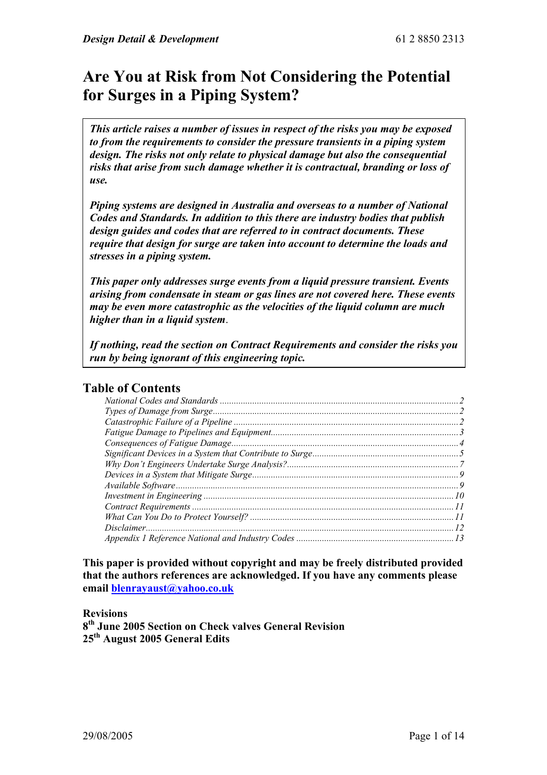# **Are You at Risk from Not Considering the Potential for Surges in a Piping System?**

*This article raises a number of issues in respect of the risks you may be exposed to from the requirements to consider the pressure transients in a piping system design. The risks not only relate to physical damage but also the consequential risks that arise from such damage whether it is contractual, branding or loss of use.* 

*Piping systems are designed in Australia and overseas to a number of National Codes and Standards. In addition to this there are industry bodies that publish design guides and codes that are referred to in contract documents. These require that design for surge are taken into account to determine the loads and stresses in a piping system.* 

*This paper only addresses surge events from a liquid pressure transient. Events arising from condensate in steam or gas lines are not covered here. These events may be even more catastrophic as the velocities of the liquid column are much higher than in a liquid system*.

*If nothing, read the section on Contract Requirements and consider the risks you run by being ignorant of this engineering topic.* 

#### **Table of Contents**

**This paper is provided without copyright and may be freely distributed provided that the authors references are acknowledged. If you have any comments please email blenrayaust@yahoo.co.uk** 

**Revisions** 

**8th June 2005 Section on Check valves General Revision 25th August 2005 General Edits**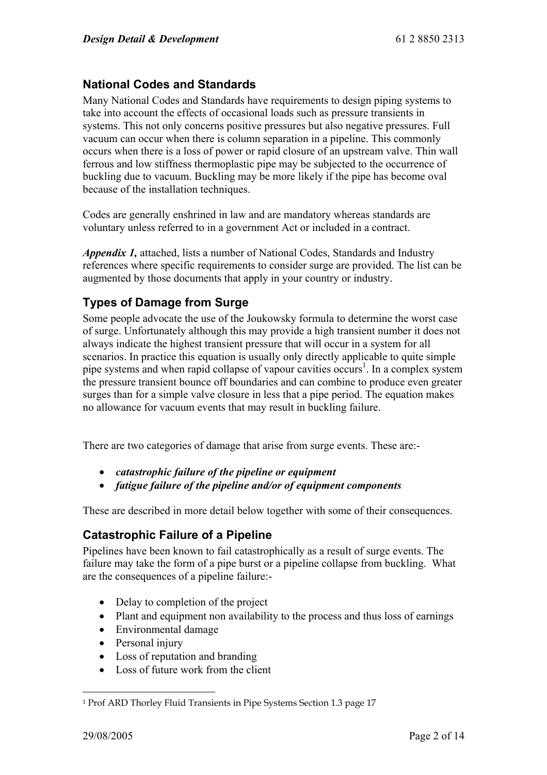# **National Codes and Standards**

Many National Codes and Standards have requirements to design piping systems to take into account the effects of occasional loads such as pressure transients in systems. This not only concerns positive pressures but also negative pressures. Full vacuum can occur when there is column separation in a pipeline. This commonly occurs when there is a loss of power or rapid closure of an upstream valve. Thin wall ferrous and low stiffness thermoplastic pipe may be subjected to the occurrence of buckling due to vacuum. Buckling may be more likely if the pipe has become oval because of the installation techniques.

Codes are generally enshrined in law and are mandatory whereas standards are voluntary unless referred to in a government Act or included in a contract.

*Appendix 1,* attached, lists a number of National Codes, Standards and Industry references where specific requirements to consider surge are provided. The list can be augmented by those documents that apply in your country or industry.

# **Types of Damage from Surge**

Some people advocate the use of the Joukowsky formula to determine the worst case of surge. Unfortunately although this may provide a high transient number it does not always indicate the highest transient pressure that will occur in a system for all scenarios. In practice this equation is usually only directly applicable to quite simple pipe systems and when rapid collapse of vapour cavities occurs<sup>1</sup>. In a complex system the pressure transient bounce off boundaries and can combine to produce even greater surges than for a simple valve closure in less that a pipe period. The equation makes no allowance for vacuum events that may result in buckling failure.

There are two categories of damage that arise from surge events. These are:-

- *catastrophic failure of the pipeline or equipment*
- *fatigue failure of the pipeline and/or of equipment components*

These are described in more detail below together with some of their consequences.

# **Catastrophic Failure of a Pipeline**

Pipelines have been known to fail catastrophically as a result of surge events. The failure may take the form of a pipe burst or a pipeline collapse from buckling. What are the consequences of a pipeline failure:-

- Delay to completion of the project
- Plant and equipment non availability to the process and thus loss of earnings
- Environmental damage
- Personal injury
- Loss of reputation and branding
- Loss of future work from the client

 $\overline{a}$ 

<sup>1</sup> Prof ARD Thorley Fluid Transients in Pipe Systems Section 1.3 page 17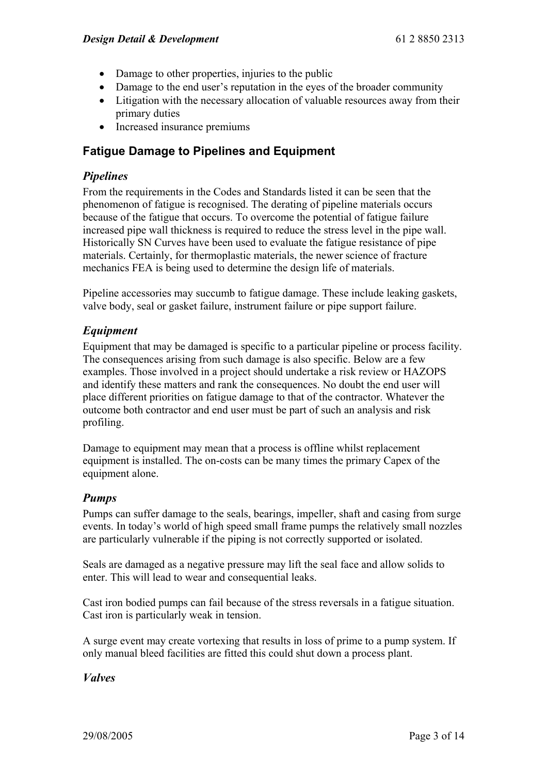- Damage to other properties, injuries to the public
- Damage to the end user's reputation in the eyes of the broader community
- Litigation with the necessary allocation of valuable resources away from their primary duties
- Increased insurance premiums

# **Fatigue Damage to Pipelines and Equipment**

# *Pipelines*

From the requirements in the Codes and Standards listed it can be seen that the phenomenon of fatigue is recognised. The derating of pipeline materials occurs because of the fatigue that occurs. To overcome the potential of fatigue failure increased pipe wall thickness is required to reduce the stress level in the pipe wall. Historically SN Curves have been used to evaluate the fatigue resistance of pipe materials. Certainly, for thermoplastic materials, the newer science of fracture mechanics FEA is being used to determine the design life of materials.

Pipeline accessories may succumb to fatigue damage. These include leaking gaskets, valve body, seal or gasket failure, instrument failure or pipe support failure.

# *Equipment*

Equipment that may be damaged is specific to a particular pipeline or process facility. The consequences arising from such damage is also specific. Below are a few examples. Those involved in a project should undertake a risk review or HAZOPS and identify these matters and rank the consequences. No doubt the end user will place different priorities on fatigue damage to that of the contractor. Whatever the outcome both contractor and end user must be part of such an analysis and risk profiling.

Damage to equipment may mean that a process is offline whilst replacement equipment is installed. The on-costs can be many times the primary Capex of the equipment alone.

# *Pumps*

Pumps can suffer damage to the seals, bearings, impeller, shaft and casing from surge events. In today's world of high speed small frame pumps the relatively small nozzles are particularly vulnerable if the piping is not correctly supported or isolated.

Seals are damaged as a negative pressure may lift the seal face and allow solids to enter. This will lead to wear and consequential leaks.

Cast iron bodied pumps can fail because of the stress reversals in a fatigue situation. Cast iron is particularly weak in tension.

A surge event may create vortexing that results in loss of prime to a pump system. If only manual bleed facilities are fitted this could shut down a process plant.

# *Valves*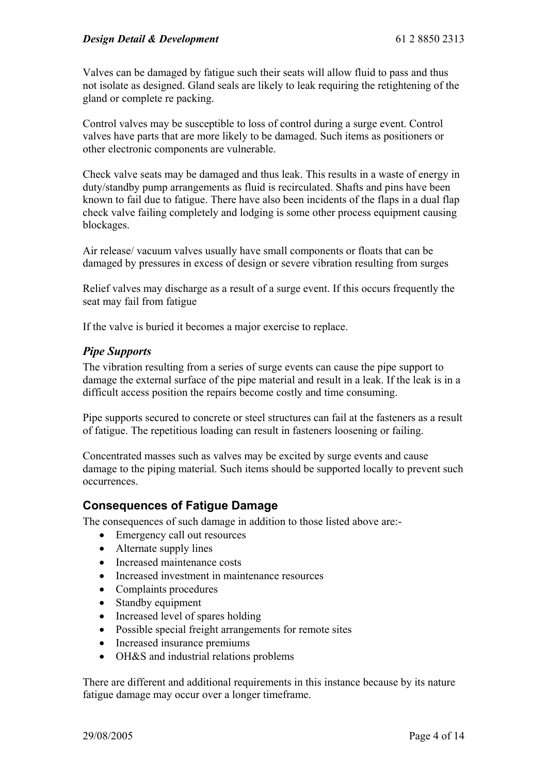Valves can be damaged by fatigue such their seats will allow fluid to pass and thus not isolate as designed. Gland seals are likely to leak requiring the retightening of the gland or complete re packing.

Control valves may be susceptible to loss of control during a surge event. Control valves have parts that are more likely to be damaged. Such items as positioners or other electronic components are vulnerable.

Check valve seats may be damaged and thus leak. This results in a waste of energy in duty/standby pump arrangements as fluid is recirculated. Shafts and pins have been known to fail due to fatigue. There have also been incidents of the flaps in a dual flap check valve failing completely and lodging is some other process equipment causing blockages.

Air release/ vacuum valves usually have small components or floats that can be damaged by pressures in excess of design or severe vibration resulting from surges

Relief valves may discharge as a result of a surge event. If this occurs frequently the seat may fail from fatigue

If the valve is buried it becomes a major exercise to replace.

#### *Pipe Supports*

The vibration resulting from a series of surge events can cause the pipe support to damage the external surface of the pipe material and result in a leak. If the leak is in a difficult access position the repairs become costly and time consuming.

Pipe supports secured to concrete or steel structures can fail at the fasteners as a result of fatigue. The repetitious loading can result in fasteners loosening or failing.

Concentrated masses such as valves may be excited by surge events and cause damage to the piping material. Such items should be supported locally to prevent such occurrences.

#### **Consequences of Fatigue Damage**

The consequences of such damage in addition to those listed above are:-

- Emergency call out resources
- Alternate supply lines
- Increased maintenance costs
- Increased investment in maintenance resources
- Complaints procedures
- Standby equipment
- Increased level of spares holding
- Possible special freight arrangements for remote sites
- Increased insurance premiums
- OH&S and industrial relations problems

There are different and additional requirements in this instance because by its nature fatigue damage may occur over a longer timeframe.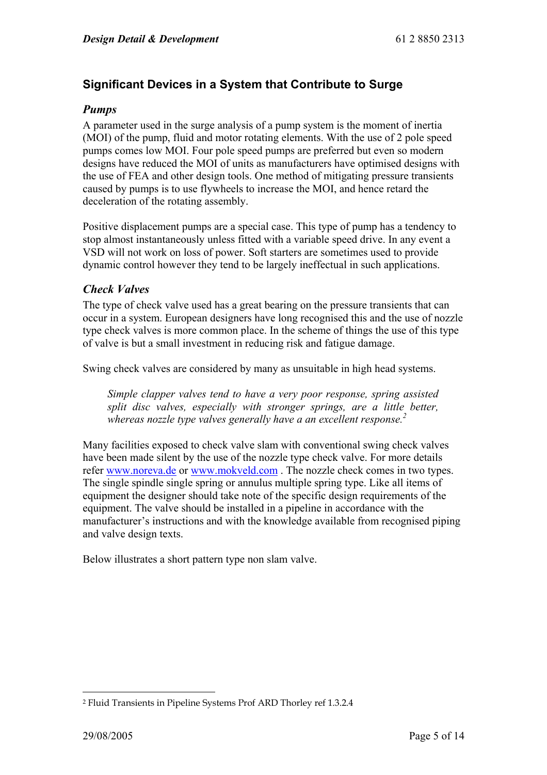# **Significant Devices in a System that Contribute to Surge**

#### *Pumps*

A parameter used in the surge analysis of a pump system is the moment of inertia (MOI) of the pump, fluid and motor rotating elements. With the use of 2 pole speed pumps comes low MOI. Four pole speed pumps are preferred but even so modern designs have reduced the MOI of units as manufacturers have optimised designs with the use of FEA and other design tools. One method of mitigating pressure transients caused by pumps is to use flywheels to increase the MOI, and hence retard the deceleration of the rotating assembly.

Positive displacement pumps are a special case. This type of pump has a tendency to stop almost instantaneously unless fitted with a variable speed drive. In any event a VSD will not work on loss of power. Soft starters are sometimes used to provide dynamic control however they tend to be largely ineffectual in such applications.

# *Check Valves*

The type of check valve used has a great bearing on the pressure transients that can occur in a system. European designers have long recognised this and the use of nozzle type check valves is more common place. In the scheme of things the use of this type of valve is but a small investment in reducing risk and fatigue damage.

Swing check valves are considered by many as unsuitable in high head systems.

*Simple clapper valves tend to have a very poor response, spring assisted split disc valves, especially with stronger springs, are a little better, whereas nozzle type valves generally have a an excellent response.2*

Many facilities exposed to check valve slam with conventional swing check valves have been made silent by the use of the nozzle type check valve. For more details refer www.noreva.de or www.mokveld.com . The nozzle check comes in two types. The single spindle single spring or annulus multiple spring type. Like all items of equipment the designer should take note of the specific design requirements of the equipment. The valve should be installed in a pipeline in accordance with the manufacturer's instructions and with the knowledge available from recognised piping and valve design texts.

Below illustrates a short pattern type non slam valve.

 $\overline{a}$ 2 Fluid Transients in Pipeline Systems Prof ARD Thorley ref 1.3.2.4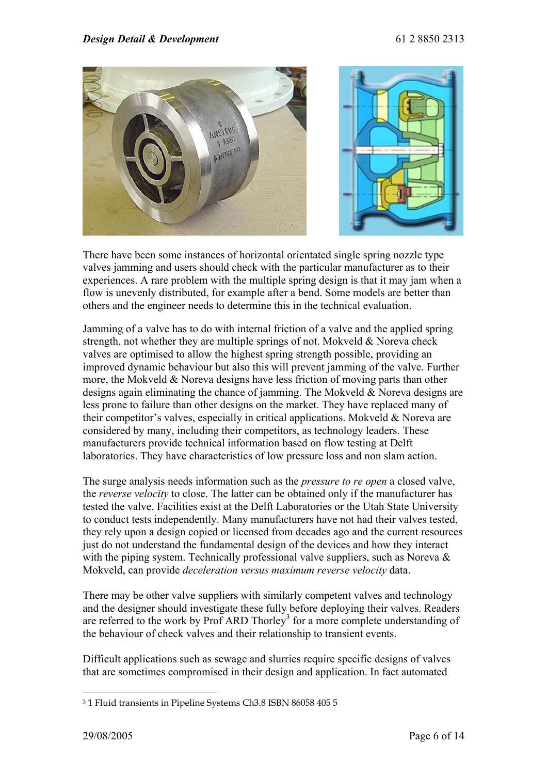

There have been some instances of horizontal orientated single spring nozzle type valves jamming and users should check with the particular manufacturer as to their experiences. A rare problem with the multiple spring design is that it may jam when a flow is unevenly distributed, for example after a bend. Some models are better than others and the engineer needs to determine this in the technical evaluation.

Jamming of a valve has to do with internal friction of a valve and the applied spring strength, not whether they are multiple springs of not. Mokveld & Noreva check valves are optimised to allow the highest spring strength possible, providing an improved dynamic behaviour but also this will prevent jamming of the valve. Further more, the Mokveld & Noreva designs have less friction of moving parts than other designs again eliminating the chance of jamming. The Mokveld & Noreva designs are less prone to failure than other designs on the market. They have replaced many of their competitor's valves, especially in critical applications. Mokveld & Noreva are considered by many, including their competitors, as technology leaders. These manufacturers provide technical information based on flow testing at Delft laboratories. They have characteristics of low pressure loss and non slam action.

The surge analysis needs information such as the *pressure to re open* a closed valve, the *reverse velocity* to close. The latter can be obtained only if the manufacturer has tested the valve. Facilities exist at the Delft Laboratories or the Utah State University to conduct tests independently. Many manufacturers have not had their valves tested, they rely upon a design copied or licensed from decades ago and the current resources just do not understand the fundamental design of the devices and how they interact with the piping system. Technically professional valve suppliers, such as Noreva  $\&$ Mokveld, can provide *deceleration versus maximum reverse velocity* data.

There may be other valve suppliers with similarly competent valves and technology and the designer should investigate these fully before deploying their valves. Readers are referred to the work by Prof ARD Thorley<sup>3</sup> for a more complete understanding of the behaviour of check valves and their relationship to transient events.

Difficult applications such as sewage and slurries require specific designs of valves that are sometimes compromised in their design and application. In fact automated

 $\overline{a}$ 

<sup>3 1</sup> Fluid transients in Pipeline Systems Ch3.8 ISBN 86058 405 5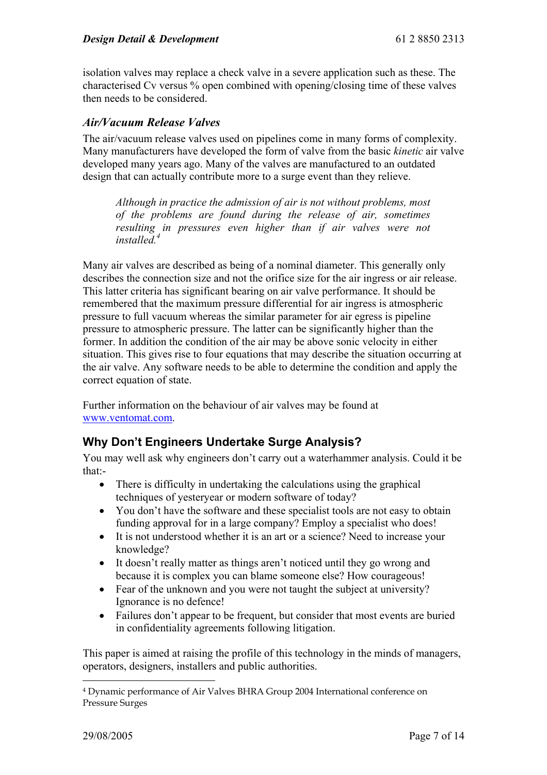isolation valves may replace a check valve in a severe application such as these. The characterised Cv versus % open combined with opening/closing time of these valves then needs to be considered.

#### *Air/Vacuum Release Valves*

The air/vacuum release valves used on pipelines come in many forms of complexity. Many manufacturers have developed the form of valve from the basic *kinetic* air valve developed many years ago. Many of the valves are manufactured to an outdated design that can actually contribute more to a surge event than they relieve.

*Although in practice the admission of air is not without problems, most of the problems are found during the release of air, sometimes resulting in pressures even higher than if air valves were not installed.4*

Many air valves are described as being of a nominal diameter. This generally only describes the connection size and not the orifice size for the air ingress or air release. This latter criteria has significant bearing on air valve performance. It should be remembered that the maximum pressure differential for air ingress is atmospheric pressure to full vacuum whereas the similar parameter for air egress is pipeline pressure to atmospheric pressure. The latter can be significantly higher than the former. In addition the condition of the air may be above sonic velocity in either situation. This gives rise to four equations that may describe the situation occurring at the air valve. Any software needs to be able to determine the condition and apply the correct equation of state.

Further information on the behaviour of air valves may be found at www.ventomat.com.

# **Why Don't Engineers Undertake Surge Analysis?**

You may well ask why engineers don't carry out a waterhammer analysis. Could it be that:-

- There is difficulty in undertaking the calculations using the graphical techniques of yesteryear or modern software of today?
- You don't have the software and these specialist tools are not easy to obtain funding approval for in a large company? Employ a specialist who does!
- It is not understood whether it is an art or a science? Need to increase your knowledge?
- It doesn't really matter as things aren't noticed until they go wrong and because it is complex you can blame someone else? How courageous!
- Fear of the unknown and you were not taught the subject at university? Ignorance is no defence!
- Failures don't appear to be frequent, but consider that most events are buried in confidentiality agreements following litigation.

This paper is aimed at raising the profile of this technology in the minds of managers, operators, designers, installers and public authorities.

 $\overline{a}$ 4 Dynamic performance of Air Valves BHRA Group 2004 International conference on Pressure Surges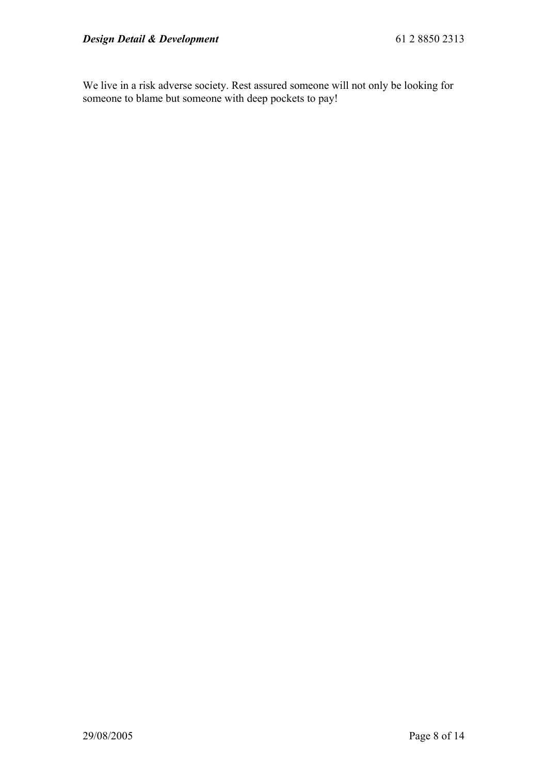We live in a risk adverse society. Rest assured someone will not only be looking for someone to blame but someone with deep pockets to pay!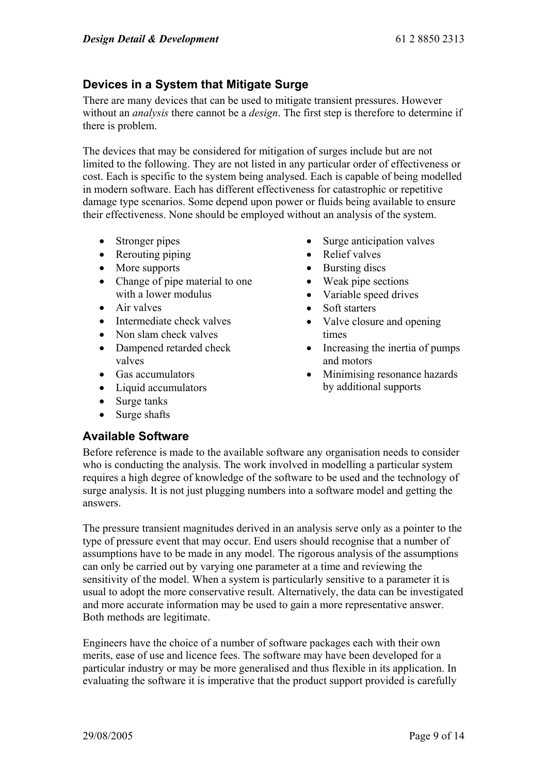# **Devices in a System that Mitigate Surge**

There are many devices that can be used to mitigate transient pressures. However without an *analysis* there cannot be a *design*. The first step is therefore to determine if there is problem.

The devices that may be considered for mitigation of surges include but are not limited to the following. They are not listed in any particular order of effectiveness or cost. Each is specific to the system being analysed. Each is capable of being modelled in modern software. Each has different effectiveness for catastrophic or repetitive damage type scenarios. Some depend upon power or fluids being available to ensure their effectiveness. None should be employed without an analysis of the system.

- Stronger pipes
- Rerouting piping
- More supports
- Change of pipe material to one with a lower modulus
- Air valves
- Intermediate check valves
- Non slam check valves
- Dampened retarded check valves
- Gas accumulators
- Liquid accumulators
- Surge tanks
- Surge shafts

# **Available Software**

- Surge anticipation valves
- Relief valves
- Bursting discs
- Weak pipe sections
- Variable speed drives
- Soft starters
- Valve closure and opening times
- Increasing the inertia of pumps and motors
- Minimising resonance hazards by additional supports

Before reference is made to the available software any organisation needs to consider who is conducting the analysis. The work involved in modelling a particular system requires a high degree of knowledge of the software to be used and the technology of surge analysis. It is not just plugging numbers into a software model and getting the answers.

The pressure transient magnitudes derived in an analysis serve only as a pointer to the type of pressure event that may occur. End users should recognise that a number of assumptions have to be made in any model. The rigorous analysis of the assumptions can only be carried out by varying one parameter at a time and reviewing the sensitivity of the model. When a system is particularly sensitive to a parameter it is usual to adopt the more conservative result. Alternatively, the data can be investigated and more accurate information may be used to gain a more representative answer. Both methods are legitimate.

Engineers have the choice of a number of software packages each with their own merits, ease of use and licence fees. The software may have been developed for a particular industry or may be more generalised and thus flexible in its application. In evaluating the software it is imperative that the product support provided is carefully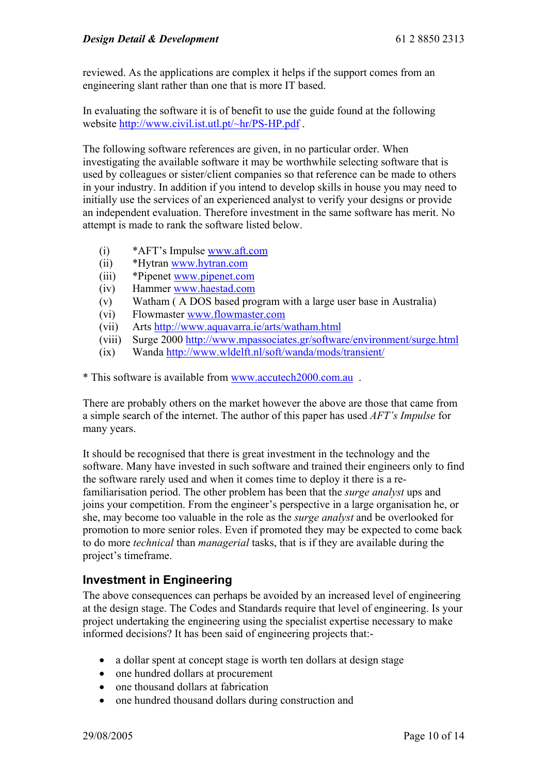reviewed. As the applications are complex it helps if the support comes from an engineering slant rather than one that is more IT based.

In evaluating the software it is of benefit to use the guide found at the following website http://www.civil.ist.utl.pt/~hr/PS-HP.pdf .

The following software references are given, in no particular order. When investigating the available software it may be worthwhile selecting software that is used by colleagues or sister/client companies so that reference can be made to others in your industry. In addition if you intend to develop skills in house you may need to initially use the services of an experienced analyst to verify your designs or provide an independent evaluation. Therefore investment in the same software has merit. No attempt is made to rank the software listed below.

- (i) \*AFT's Impulse www.aft.com
- (ii) \*Hytran www.hytran.com
- (iii) \*Pipenet www.pipenet.com
- (iv) Hammer www.haestad.com
- (v) Watham ( A DOS based program with a large user base in Australia)
- (vi) Flowmaster www.flowmaster.com
- (vii) Arts http://www.aquavarra.ie/arts/watham.html
- (viii) Surge 2000 http://www.mpassociates.gr/software/environment/surge.html
- (ix) Wanda http://www.wldelft.nl/soft/wanda/mods/transient/

\* This software is available from www.accutech2000.com.au .

There are probably others on the market however the above are those that came from a simple search of the internet. The author of this paper has used *AFT's Impulse* for many years.

It should be recognised that there is great investment in the technology and the software. Many have invested in such software and trained their engineers only to find the software rarely used and when it comes time to deploy it there is a refamiliarisation period. The other problem has been that the *surge analyst* ups and joins your competition. From the engineer's perspective in a large organisation he, or she, may become too valuable in the role as the *surge analyst* and be overlooked for promotion to more senior roles. Even if promoted they may be expected to come back to do more *technical* than *managerial* tasks, that is if they are available during the project's timeframe.

# **Investment in Engineering**

The above consequences can perhaps be avoided by an increased level of engineering at the design stage. The Codes and Standards require that level of engineering. Is your project undertaking the engineering using the specialist expertise necessary to make informed decisions? It has been said of engineering projects that:-

- a dollar spent at concept stage is worth ten dollars at design stage
- one hundred dollars at procurement
- one thousand dollars at fabrication
- one hundred thousand dollars during construction and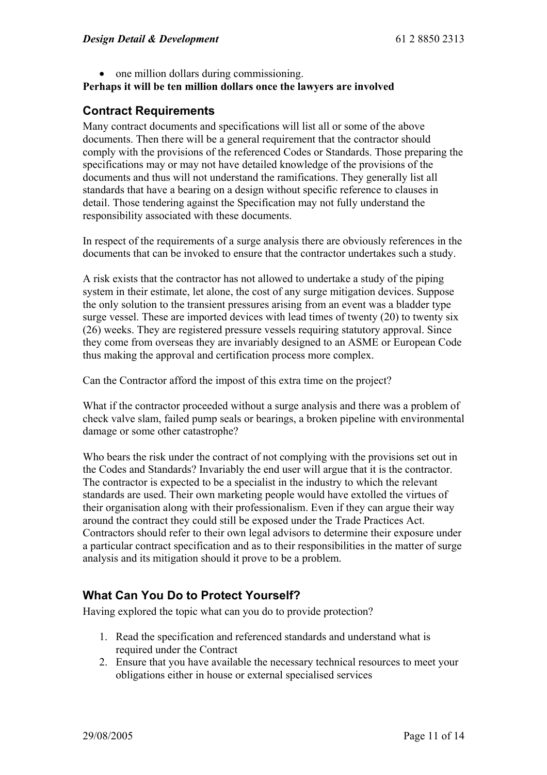• one million dollars during commissioning.

# **Perhaps it will be ten million dollars once the lawyers are involved**

# **Contract Requirements**

Many contract documents and specifications will list all or some of the above documents. Then there will be a general requirement that the contractor should comply with the provisions of the referenced Codes or Standards. Those preparing the specifications may or may not have detailed knowledge of the provisions of the documents and thus will not understand the ramifications. They generally list all standards that have a bearing on a design without specific reference to clauses in detail. Those tendering against the Specification may not fully understand the responsibility associated with these documents.

In respect of the requirements of a surge analysis there are obviously references in the documents that can be invoked to ensure that the contractor undertakes such a study.

A risk exists that the contractor has not allowed to undertake a study of the piping system in their estimate, let alone, the cost of any surge mitigation devices. Suppose the only solution to the transient pressures arising from an event was a bladder type surge vessel. These are imported devices with lead times of twenty (20) to twenty six (26) weeks. They are registered pressure vessels requiring statutory approval. Since they come from overseas they are invariably designed to an ASME or European Code thus making the approval and certification process more complex.

Can the Contractor afford the impost of this extra time on the project?

What if the contractor proceeded without a surge analysis and there was a problem of check valve slam, failed pump seals or bearings, a broken pipeline with environmental damage or some other catastrophe?

Who bears the risk under the contract of not complying with the provisions set out in the Codes and Standards? Invariably the end user will argue that it is the contractor. The contractor is expected to be a specialist in the industry to which the relevant standards are used. Their own marketing people would have extolled the virtues of their organisation along with their professionalism. Even if they can argue their way around the contract they could still be exposed under the Trade Practices Act. Contractors should refer to their own legal advisors to determine their exposure under a particular contract specification and as to their responsibilities in the matter of surge analysis and its mitigation should it prove to be a problem.

# **What Can You Do to Protect Yourself?**

Having explored the topic what can you do to provide protection?

- 1. Read the specification and referenced standards and understand what is required under the Contract
- 2. Ensure that you have available the necessary technical resources to meet your obligations either in house or external specialised services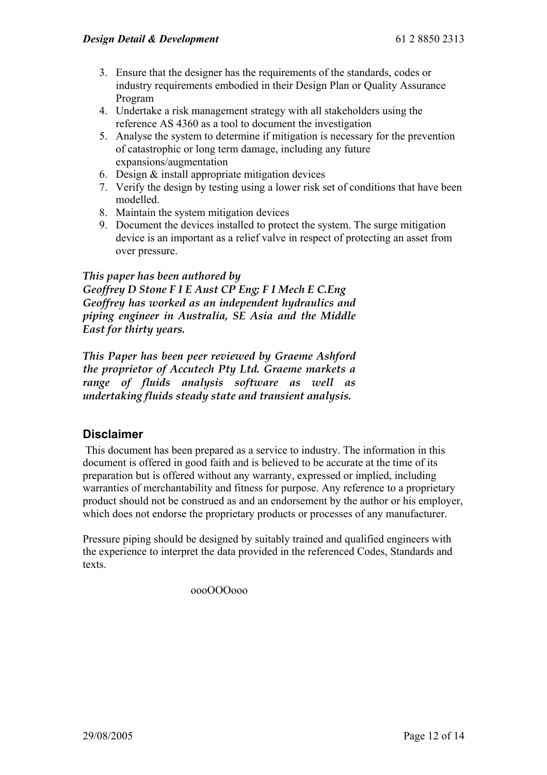- 3. Ensure that the designer has the requirements of the standards, codes or industry requirements embodied in their Design Plan or Quality Assurance Program
- 4. Undertake a risk management strategy with all stakeholders using the reference AS 4360 as a tool to document the investigation
- 5. Analyse the system to determine if mitigation is necessary for the prevention of catastrophic or long term damage, including any future expansions/augmentation
- 6. Design & install appropriate mitigation devices
- 7. Verify the design by testing using a lower risk set of conditions that have been modelled.
- 8. Maintain the system mitigation devices
- 9. Document the devices installed to protect the system. The surge mitigation device is an important as a relief valve in respect of protecting an asset from over pressure.

#### *This paper has been authored by*

*Geoffrey D Stone F I E Aust CP Eng; F I Mech E C.Eng Geoffrey has worked as an independent hydraulics and piping engineer in Australia, SE Asia and the Middle East for thirty years.* 

*This Paper has been peer reviewed by Graeme Ashford the proprietor of Accutech Pty Ltd. Graeme markets a range of fluids analysis software as well as undertaking fluids steady state and transient analysis.* 

# **Disclaimer**

 This document has been prepared as a service to industry. The information in this document is offered in good faith and is believed to be accurate at the time of its preparation but is offered without any warranty, expressed or implied, including warranties of merchantability and fitness for purpose. Any reference to a proprietary product should not be construed as and an endorsement by the author or his employer, which does not endorse the proprietary products or processes of any manufacturer.

Pressure piping should be designed by suitably trained and qualified engineers with the experience to interpret the data provided in the referenced Codes, Standards and texts.

oooOOOooo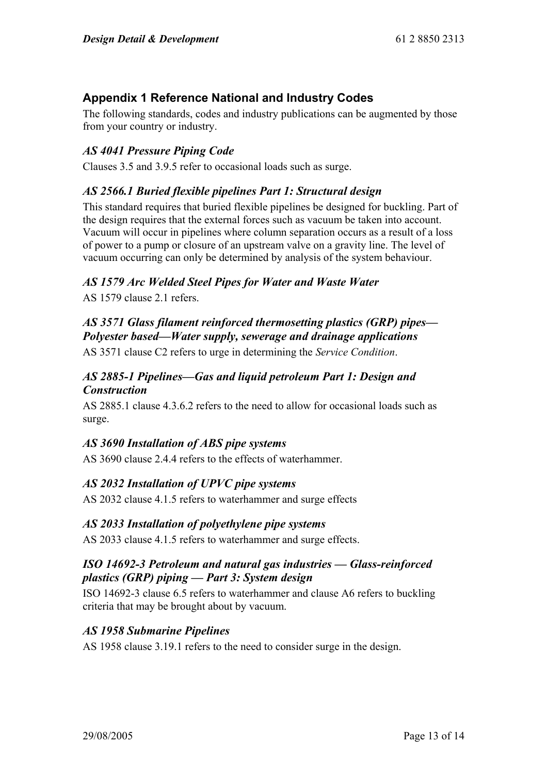# **Appendix 1 Reference National and Industry Codes**

The following standards, codes and industry publications can be augmented by those from your country or industry.

# *AS 4041 Pressure Piping Code*

Clauses 3.5 and 3.9.5 refer to occasional loads such as surge.

# *AS 2566.1 Buried flexible pipelines Part 1: Structural design*

This standard requires that buried flexible pipelines be designed for buckling. Part of the design requires that the external forces such as vacuum be taken into account. Vacuum will occur in pipelines where column separation occurs as a result of a loss of power to a pump or closure of an upstream valve on a gravity line. The level of vacuum occurring can only be determined by analysis of the system behaviour.

# *AS 1579 Arc Welded Steel Pipes for Water and Waste Water*

AS 1579 clause 2.1 refers.

*AS 3571 Glass filament reinforced thermosetting plastics (GRP) pipes— Polyester based—Water supply, sewerage and drainage applications* AS 3571 clause C2 refers to urge in determining the *Service Condition*.

#### *AS 2885-1 Pipelines—Gas and liquid petroleum Part 1: Design and Construction*

AS 2885.1 clause 4.3.6.2 refers to the need to allow for occasional loads such as surge.

# *AS 3690 Installation of ABS pipe systems*

AS 3690 clause 2.4.4 refers to the effects of waterhammer.

# *AS 2032 Installation of UPVC pipe systems*

AS 2032 clause 4.1.5 refers to waterhammer and surge effects

#### *AS 2033 Installation of polyethylene pipe systems*

AS 2033 clause 4.1.5 refers to waterhammer and surge effects.

# *ISO 14692-3 Petroleum and natural gas industries — Glass-reinforced plastics (GRP) piping — Part 3: System design*

ISO 14692-3 clause 6.5 refers to waterhammer and clause A6 refers to buckling criteria that may be brought about by vacuum.

#### *AS 1958 Submarine Pipelines*

AS 1958 clause 3.19.1 refers to the need to consider surge in the design.